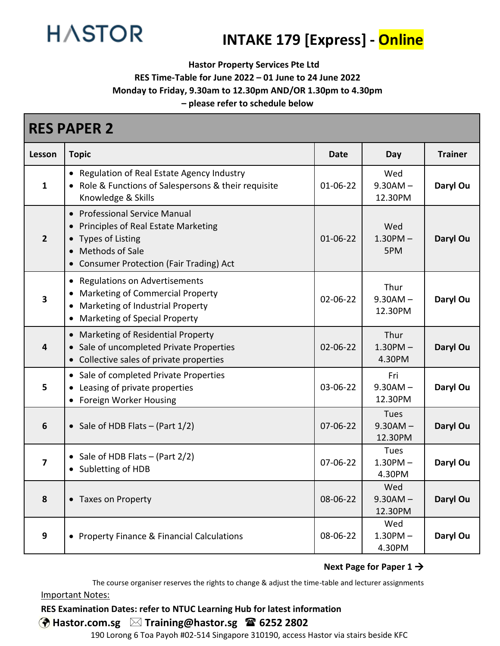

# **INTAKE 179 [Express] - Online**

**Hastor Property Services Pte Ltd**

**RES Time-Table for June 2022 – 01 June to 24 June 2022**

**Monday to Friday, 9.30am to 12.30pm AND/OR 1.30pm to 4.30pm**

**– please refer to schedule below**

| <b>RES PAPER 2</b>      |                                                                                                                                                                                       |                |                                        |                |  |  |
|-------------------------|---------------------------------------------------------------------------------------------------------------------------------------------------------------------------------------|----------------|----------------------------------------|----------------|--|--|
| Lesson                  | <b>Topic</b>                                                                                                                                                                          | Date           | Day                                    | <b>Trainer</b> |  |  |
| $\mathbf{1}$            | • Regulation of Real Estate Agency Industry<br>• Role & Functions of Salespersons & their requisite<br>Knowledge & Skills                                                             | $01 - 06 - 22$ | Wed<br>$9.30AM -$<br>12.30PM           | Daryl Ou       |  |  |
| $\overline{2}$          | <b>Professional Service Manual</b><br>$\bullet$<br>Principles of Real Estate Marketing<br><b>Types of Listing</b><br>Methods of Sale<br><b>Consumer Protection (Fair Trading) Act</b> | $01 - 06 - 22$ | Wed<br>$1.30$ PM $-$<br>5PM            | Daryl Ou       |  |  |
| $\overline{\mathbf{3}}$ | <b>Regulations on Advertisements</b><br><b>Marketing of Commercial Property</b><br>Marketing of Industrial Property<br>Marketing of Special Property                                  | 02-06-22       | Thur<br>$9.30AM -$<br>12.30PM          | Daryl Ou       |  |  |
| $\overline{\mathbf{4}}$ | Marketing of Residential Property<br>$\bullet$<br>Sale of uncompleted Private Properties<br>Collective sales of private properties<br>$\bullet$                                       | 02-06-22       | Thur<br>$1.30$ PM $-$<br>4.30PM        | Daryl Ou       |  |  |
| 5                       | • Sale of completed Private Properties<br>Leasing of private properties<br>Foreign Worker Housing                                                                                     | 03-06-22       | Fri<br>$9.30AM -$<br>12.30PM           | Daryl Ou       |  |  |
| $6\phantom{1}6$         | • Sale of HDB Flats $-$ (Part $1/2$ )                                                                                                                                                 | $07 - 06 - 22$ | Tues<br>$9.30AM -$<br>12.30PM          | Daryl Ou       |  |  |
| $\overline{\mathbf{z}}$ | Sale of HDB Flats $-$ (Part 2/2)<br>Subletting of HDB                                                                                                                                 | 07-06-22       | <b>Tues</b><br>$1.30$ PM $-$<br>4.30PM | Daryl Ou       |  |  |
| 8                       | • Taxes on Property                                                                                                                                                                   | 08-06-22       | Wed<br>$9.30AM -$<br>12.30PM           | Daryl Ou       |  |  |
| 9                       | • Property Finance & Financial Calculations                                                                                                                                           | 08-06-22       | Wed<br>$1.30$ PM $-$<br>4.30PM         | Daryl Ou       |  |  |

#### **Next Page for Paper 1** →

The course organiser reserves the rights to change & adjust the time-table and lecturer assignments Important Notes:

## **RES Examination Dates: refer to NTUC Learning Hub for latest information**

# **Hastor.com.sg Training@hastor.sg 6252 2802**

190 Lorong 6 Toa Payoh #02-514 Singapore 310190, access Hastor via stairs beside KFC